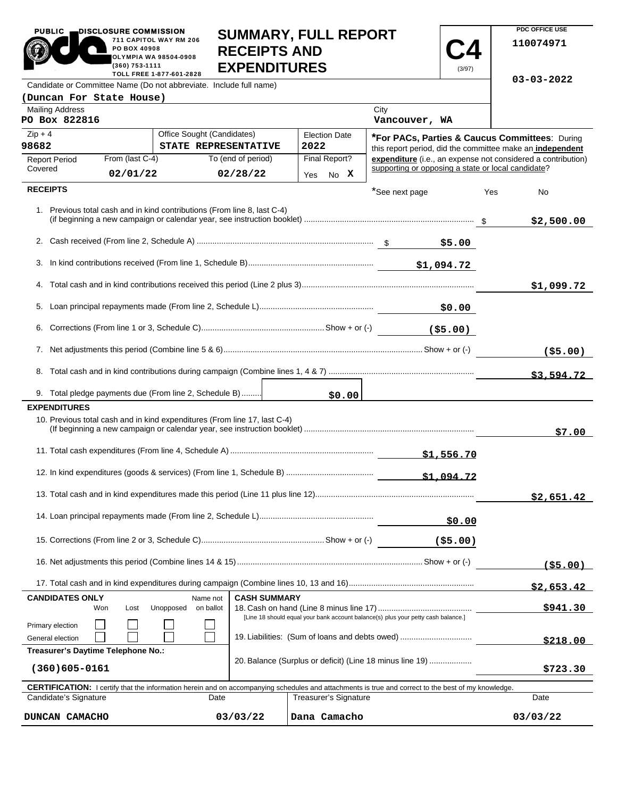| <b>PUBLIC</b>                                                                                  | DISCLOSURE COMMISSION          |                                                                           |                                            |                     | <b>SUMMARY, FULL REPORT</b> |                                                                                   |            |     | PDC OFFICE USE                                               |
|------------------------------------------------------------------------------------------------|--------------------------------|---------------------------------------------------------------------------|--------------------------------------------|---------------------|-----------------------------|-----------------------------------------------------------------------------------|------------|-----|--------------------------------------------------------------|
|                                                                                                | PO BOX 40908<br>(360) 753-1111 | 711 CAPITOL WAY RM 206<br><b>OLYMPIA WA 98504-0908</b>                    | <b>RECEIPTS AND</b><br><b>EXPENDITURES</b> |                     |                             |                                                                                   |            |     | 110074971                                                    |
|                                                                                                |                                | TOLL FREE 1-877-601-2828                                                  |                                            |                     |                             |                                                                                   | (3/97)     |     | $03 - 03 - 2022$                                             |
| Candidate or Committee Name (Do not abbreviate. Include full name)<br>(Duncan For State House) |                                |                                                                           |                                            |                     |                             |                                                                                   |            |     |                                                              |
| <b>Mailing Address</b><br>PO Box 822816                                                        |                                |                                                                           |                                            |                     |                             | City<br>Vancouver, WA                                                             |            |     |                                                              |
| $Zip + 4$                                                                                      |                                | Office Sought (Candidates)                                                |                                            |                     | <b>Election Date</b>        |                                                                                   |            |     | *For PACs, Parties & Caucus Committees: During               |
| 98682                                                                                          |                                |                                                                           | STATE REPRESENTATIVE                       |                     | 2022                        |                                                                                   |            |     | this report period, did the committee make an independent    |
| <b>Report Period</b><br>Covered                                                                | From (last C-4)                |                                                                           | To (end of period)                         |                     | Final Report?               | supporting or opposing a state or local candidate?                                |            |     | expenditure (i.e., an expense not considered a contribution) |
|                                                                                                | 02/01/22                       |                                                                           | 02/28/22                                   |                     | Yes No X                    |                                                                                   |            |     |                                                              |
| <b>RECEIPTS</b>                                                                                |                                |                                                                           |                                            |                     |                             | *See next page                                                                    |            | Yes | No                                                           |
|                                                                                                |                                | 1. Previous total cash and in kind contributions (From line 8, last C-4)  |                                            |                     |                             |                                                                                   |            |     | \$2,500.00                                                   |
|                                                                                                |                                |                                                                           |                                            |                     |                             |                                                                                   |            |     |                                                              |
|                                                                                                |                                |                                                                           |                                            |                     |                             |                                                                                   |            |     |                                                              |
|                                                                                                |                                |                                                                           |                                            |                     |                             |                                                                                   |            |     | \$1,099.72                                                   |
|                                                                                                |                                |                                                                           |                                            |                     |                             |                                                                                   |            |     |                                                              |
|                                                                                                |                                |                                                                           |                                            |                     |                             |                                                                                   |            |     |                                                              |
|                                                                                                |                                |                                                                           |                                            |                     |                             |                                                                                   |            |     | ( \$5.00)                                                    |
|                                                                                                |                                |                                                                           |                                            |                     |                             |                                                                                   |            |     | \$3.594.72                                                   |
|                                                                                                |                                | 9. Total pledge payments due (From line 2, Schedule B)                    |                                            |                     | \$0.00                      |                                                                                   |            |     |                                                              |
| <b>EXPENDITURES</b>                                                                            |                                | 10. Previous total cash and in kind expenditures (From line 17, last C-4) |                                            |                     |                             |                                                                                   |            |     |                                                              |
|                                                                                                |                                |                                                                           |                                            |                     |                             |                                                                                   |            |     | \$7.00                                                       |
|                                                                                                |                                |                                                                           |                                            |                     |                             |                                                                                   |            |     |                                                              |
|                                                                                                |                                |                                                                           |                                            |                     |                             |                                                                                   | \$1.094.72 |     |                                                              |
|                                                                                                |                                |                                                                           |                                            |                     |                             |                                                                                   |            |     | \$2,651.42                                                   |
|                                                                                                |                                |                                                                           |                                            |                     |                             |                                                                                   | \$0.00     |     |                                                              |
|                                                                                                |                                |                                                                           |                                            |                     |                             |                                                                                   | ( \$5.00)  |     |                                                              |
|                                                                                                |                                |                                                                           |                                            |                     |                             |                                                                                   |            |     | (55.00)                                                      |
|                                                                                                |                                |                                                                           |                                            |                     |                             |                                                                                   |            |     | \$2,653.42                                                   |
| <b>CANDIDATES ONLY</b>                                                                         | Won<br>Lost                    | Name not<br>Unopposed<br>on ballot                                        |                                            | <b>CASH SUMMARY</b> |                             |                                                                                   |            |     | \$941.30                                                     |
|                                                                                                |                                |                                                                           |                                            |                     |                             | [Line 18 should equal your bank account balance(s) plus your petty cash balance.] |            |     |                                                              |
| Primary election<br>General election                                                           |                                |                                                                           |                                            |                     |                             | 19. Liabilities: (Sum of loans and debts owed)                                    |            |     |                                                              |
| Treasurer's Daytime Telephone No.:                                                             |                                |                                                                           |                                            |                     |                             |                                                                                   |            |     | \$218.00                                                     |
|                                                                                                |                                |                                                                           |                                            |                     |                             | 20. Balance (Surplus or deficit) (Line 18 minus line 19)                          |            |     |                                                              |

**PDC OFFICE USE** 

 $\mathbf{I}$ 

PUBLIC **DISCLOSURE COMMISSION** 

| $(360)605 - 0161$     |          |                                                                                                                                                            | \$723.30 |
|-----------------------|----------|------------------------------------------------------------------------------------------------------------------------------------------------------------|----------|
|                       |          | <b>CERTIFICATION:</b> I certify that the information herein and on accompanying schedules and attachments is true and correct to the best of my knowledge. |          |
| Candidate's Signature | Date     | Treasurer's Signature                                                                                                                                      | Date     |
| DUNCAN CAMACHO        | 03/03/22 | Dana Camacho                                                                                                                                               | 03/03/22 |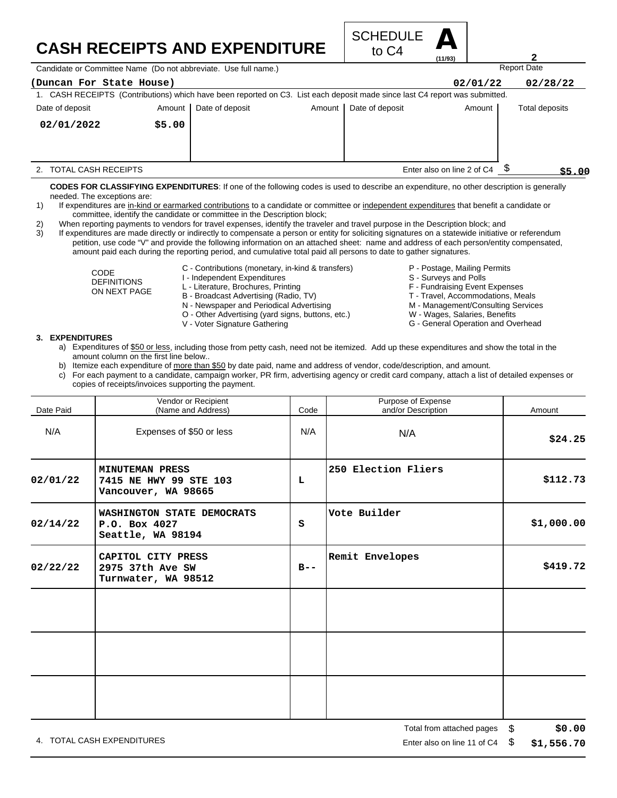# **CASH RECEIPTS AND EXPENDITURE**



Candidate or Committee Name (Do not abbreviate. Use full name.)

| (Duncan For State House)                                                                                                    |        |                 |          |                 | 02/01/22                   | 02/28/22       |
|-----------------------------------------------------------------------------------------------------------------------------|--------|-----------------|----------|-----------------|----------------------------|----------------|
| 1. CASH RECEIPTS (Contributions) which have been reported on C3. List each deposit made since last C4 report was submitted. |        |                 |          |                 |                            |                |
| Date of deposit                                                                                                             | Amount | Date of deposit | Amount I | Date of deposit | Amount                     | Total deposits |
| 02/01/2022                                                                                                                  | \$5.00 |                 |          |                 |                            |                |
|                                                                                                                             |        |                 |          |                 |                            |                |
| TOTAL CASH RECEIPTS                                                                                                         |        |                 |          |                 | Enter also on line 2 of C4 | \$5.00         |

**CODES FOR CLASSIFYING EXPENDITURES**: If one of the following codes is used to describe an expenditure, no other description is generally needed. The exceptions are:

- 1) If expenditures are in-kind or earmarked contributions to a candidate or committee or independent expenditures that benefit a candidate or committee, identify the candidate or committee in the Description block;
- 2) When reporting payments to vendors for travel expenses, identify the traveler and travel purpose in the Description block; and

3) If expenditures are made directly or indirectly to compensate a person or entity for soliciting signatures on a statewide initiative or referendum petition, use code "V" and provide the following information on an attached sheet: name and address of each person/entity compensated, amount paid each during the reporting period, and cumulative total paid all persons to date to gather signatures.

> CODE DEFINITIONS ON NEXT PAGE

- C Contributions (monetary, in-kind & transfers)
- I Independent Expenditures
- L Literature, Brochures, Printing
- B Broadcast Advertising (Radio, TV)
- N Newspaper and Periodical Advertising
- O Other Advertising (yard signs, buttons, etc.)
- V Voter Signature Gathering
- P Postage, Mailing Permits
- S Surveys and Polls
- F Fundraising Event Expenses
- T Travel, Accommodations, Meals
- M Management/Consulting Services

Report Date

**2**

- W Wages, Salaries, Benefits
- G General Operation and Overhead

#### **3. EXPENDITURES**

- a) Expenditures of \$50 or less, including those from petty cash, need not be itemized. Add up these expenditures and show the total in the amount column on the first line below..
- b) Itemize each expenditure of more than \$50 by date paid, name and address of vendor, code/description, and amount.
- c) For each payment to a candidate, campaign worker, PR firm, advertising agency or credit card company, attach a list of detailed expenses or copies of receipts/invoices supporting the payment.

| Date Paid | Vendor or Recipient<br>(Name and Address)                               | Code    | Purpose of Expense<br>and/or Description | Amount     |
|-----------|-------------------------------------------------------------------------|---------|------------------------------------------|------------|
| N/A       | Expenses of \$50 or less                                                | N/A     | N/A                                      | \$24.25    |
| 02/01/22  | <b>MINUTEMAN PRESS</b><br>7415 NE HWY 99 STE 103<br>Vancouver, WA 98665 | L       | 250 Election Fliers                      | \$112.73   |
| 02/14/22  | WASHINGTON STATE DEMOCRATS<br>P.O. Box 4027<br>Seattle, WA 98194        | S       | Vote Builder                             | \$1,000.00 |
| 02/22/22  | CAPITOL CITY PRESS<br>2975 37th Ave SW<br>Turnwater, WA 98512           | $B - -$ | Remit Envelopes                          | \$419.72   |
|           |                                                                         |         |                                          |            |
|           |                                                                         |         |                                          |            |
|           |                                                                         |         |                                          |            |

4. TOTAL CASH EXPENDITURES **EXAMPLE 2008** 2012 12:00 THE RISP ON LINE 2012 12:00 THE RISP ON LINE 11 Of C4 \$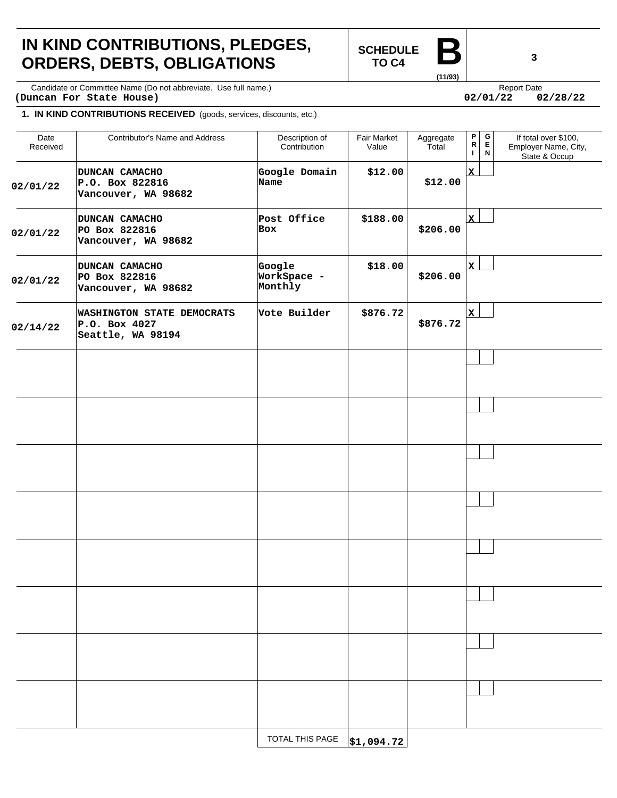# **IN KIND CONTRIBUTIONS, PLEDGES, ORDERS, DEBTS, OBLIGATIONS**

**SCHEDULE TO C4** 

Candidate or Committee Name (Do not abbreviate. Use full name.) Candidate express and the expect Date Report Date **(Duncan For State House) 02/01/22 02/28/22**

#### **1. IN KIND CONTRIBUTIONS RECEIVED** (goods, services, discounts, etc.)

| Date<br>Received | Contributor's Name and Address                                          | Description of<br>Contribution   | Fair Market<br>Value | Aggregate<br>Total | $\mathsf P$<br>${\sf R}$<br>$\mathbf{I}$ | G<br>E.<br>N | If total over \$100,<br>Employer Name, City,<br>State & Occup |
|------------------|-------------------------------------------------------------------------|----------------------------------|----------------------|--------------------|------------------------------------------|--------------|---------------------------------------------------------------|
| 02/01/22         | DUNCAN CAMACHO<br>P.O. Box 822816<br>Vancouver, WA 98682                | Google Domain<br>Name            | \$12.00              | \$12.00            | $\mathbf{x}$                             |              |                                                               |
| 02/01/22         | DUNCAN CAMACHO<br>PO Box 822816<br>Vancouver, WA 98682                  | Post Office<br><b>Box</b>        | \$188.00             | \$206.00           | $\mathbf x$                              |              |                                                               |
| 02/01/22         | DUNCAN CAMACHO<br>PO Box 822816<br>Vancouver, WA 98682                  | Google<br>WorkSpace -<br>Monthly | \$18.00              | \$206.00           | $\mathbf{x}$                             |              |                                                               |
| 02/14/22         | <b>WASHINGTON STATE DEMOCRATS</b><br>P.O. Box 4027<br>Seattle, WA 98194 | Vote Builder                     | \$876.72             | \$876.72           | x                                        |              |                                                               |
|                  |                                                                         |                                  |                      |                    |                                          |              |                                                               |
|                  |                                                                         |                                  |                      |                    |                                          |              |                                                               |
|                  |                                                                         |                                  |                      |                    |                                          |              |                                                               |
|                  |                                                                         |                                  |                      |                    |                                          |              |                                                               |
|                  |                                                                         |                                  |                      |                    |                                          |              |                                                               |
|                  |                                                                         |                                  |                      |                    |                                          |              |                                                               |
|                  |                                                                         |                                  |                      |                    |                                          |              |                                                               |
|                  |                                                                         |                                  |                      |                    |                                          |              |                                                               |
|                  |                                                                         | TOTAL THIS PAGE                  | \$1,094.72           |                    |                                          |              |                                                               |



 $02/01/22$ 

**(11/93)**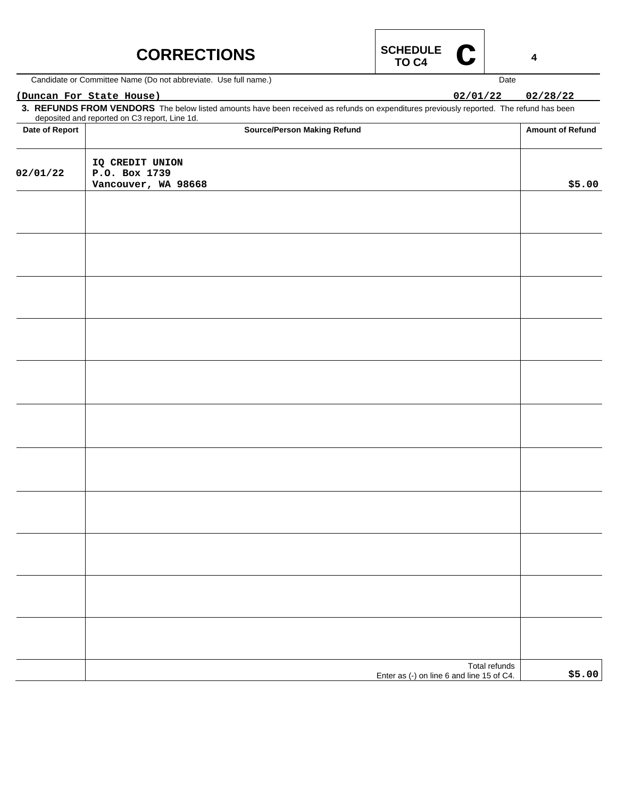| <b>CORRECTIONS</b> | SCHEDULE |
|--------------------|----------|
|                    | TO C4    |



Candidate or Committee Name (Do not abbreviate. Use full name.)

### **(Duncan For State House) 02/01/22 02/28/22**

**3. REFUNDS FROM VENDORS** The below listed amounts have been received as refunds on expenditures previously reported. The refund has been deposited and reported on C3 report, Line 1d.

| Date of Report | <b>Source/Person Making Refund</b>                         | <b>Amount of Refund</b> |
|----------------|------------------------------------------------------------|-------------------------|
| 02/01/22       | IQ CREDIT UNION<br>P.O. Box 1739<br>Vancouver, WA 98668    | \$5.00                  |
|                |                                                            |                         |
|                |                                                            |                         |
|                |                                                            |                         |
|                |                                                            |                         |
|                |                                                            |                         |
|                |                                                            |                         |
|                |                                                            |                         |
|                |                                                            |                         |
|                |                                                            |                         |
|                |                                                            |                         |
|                |                                                            |                         |
|                | Total refunds<br>Enter as (-) on line 6 and line 15 of C4. | \$5.00                  |

**4**

Date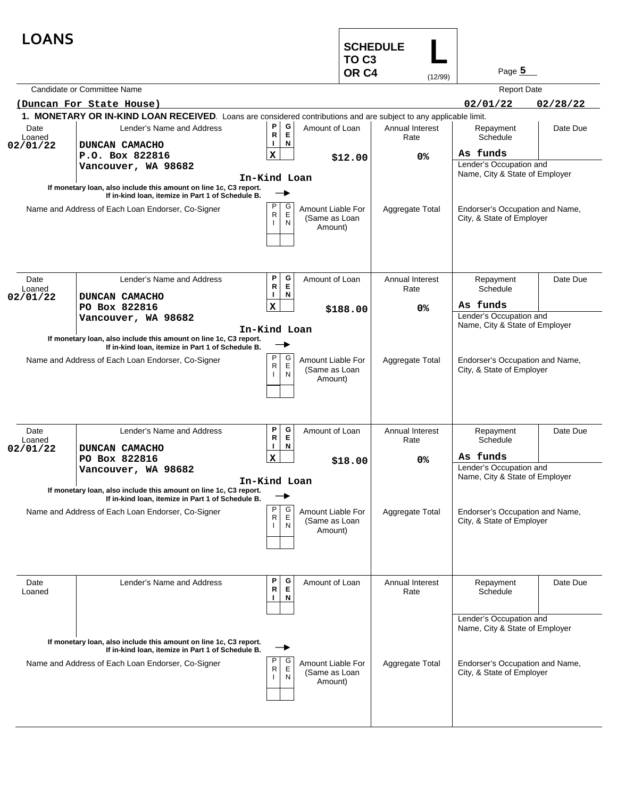| <b>LOANS</b>       |                                                                                                                        |                                                    | <b>SCHEDULE</b><br>TO <sub>C3</sub><br>OR <sub>C4</sub> | (12/99)                 | Page $5$                                                     |          |  |
|--------------------|------------------------------------------------------------------------------------------------------------------------|----------------------------------------------------|---------------------------------------------------------|-------------------------|--------------------------------------------------------------|----------|--|
|                    | Candidate or Committee Name                                                                                            |                                                    |                                                         |                         | <b>Report Date</b>                                           |          |  |
|                    | (Duncan For State House)                                                                                               |                                                    |                                                         |                         | 02/01/22                                                     | 02/28/22 |  |
|                    | 1. MONETARY OR IN-KIND LOAN RECEIVED. Loans are considered contributions and are subject to any applicable limit.      |                                                    |                                                         |                         |                                                              |          |  |
| Date               | Lender's Name and Address                                                                                              | P<br>G                                             | Amount of Loan                                          | Annual Interest         | Repayment                                                    | Date Due |  |
| Loaned             |                                                                                                                        | Е<br>R<br>N                                        |                                                         | Rate                    | Schedule                                                     |          |  |
| 02/01/22           | DUNCAN CAMACHO                                                                                                         | $\mathbf x$                                        |                                                         |                         | As funds                                                     |          |  |
|                    | P.O. Box 822816<br>Vancouver, WA 98682                                                                                 |                                                    | \$12.00                                                 | 0%                      | Lender's Occupation and                                      |          |  |
|                    |                                                                                                                        | In-Kind Loan                                       |                                                         |                         | Name, City & State of Employer                               |          |  |
|                    | If monetary loan, also include this amount on line 1c, C3 report.<br>If in-kind loan, itemize in Part 1 of Schedule B. |                                                    |                                                         |                         |                                                              |          |  |
|                    | Name and Address of Each Loan Endorser, Co-Signer                                                                      | P<br>G<br>E<br>R<br>N                              | Amount Liable For<br>(Same as Loan<br>Amount)           | Aggregate Total         | Endorser's Occupation and Name,<br>City, & State of Employer |          |  |
| Date               | Lender's Name and Address                                                                                              | Ρ<br>G<br>E<br>R                                   | Amount of Loan                                          | Annual Interest         | Repayment                                                    | Date Due |  |
| Loaned<br>02/01/22 | DUNCAN CAMACHO                                                                                                         | N<br>Ι.                                            |                                                         | Rate                    | Schedule                                                     |          |  |
|                    | PO Box 822816                                                                                                          | x                                                  | \$188.00                                                | 0%                      | As funds                                                     |          |  |
|                    | Vancouver, WA 98682                                                                                                    |                                                    |                                                         |                         | Lender's Occupation and<br>Name, City & State of Employer    |          |  |
|                    | If monetary loan, also include this amount on line 1c, C3 report.<br>If in-kind loan, itemize in Part 1 of Schedule B. | In-Kind Loan<br>P<br>G                             |                                                         |                         |                                                              |          |  |
|                    | Name and Address of Each Loan Endorser, Co-Signer                                                                      | R<br>E<br>N                                        | Amount Liable For<br>(Same as Loan<br>Amount)           | Aggregate Total         | Endorser's Occupation and Name,<br>City, & State of Employer |          |  |
| Date<br>Loaned     | Lender's Name and Address                                                                                              | P<br>G<br>$\mathsf E$<br>R                         | Amount of Loan                                          | Annual Interest<br>Rate | Repayment<br>Schedule                                        | Date Due |  |
| 02/01/22           | DUNCAN CAMACHO                                                                                                         | N                                                  |                                                         |                         |                                                              |          |  |
|                    | PO Box 822816                                                                                                          | x                                                  | \$18.00                                                 | 0%                      | As funds<br>Lender's Occupation and                          |          |  |
|                    | Vancouver, WA 98682                                                                                                    |                                                    |                                                         |                         | Name, City & State of Employer                               |          |  |
|                    | If monetary loan, also include this amount on line 1c, C3 report.<br>If in-kind loan, itemize in Part 1 of Schedule B. | In-Kind Loan                                       |                                                         |                         |                                                              |          |  |
|                    | Name and Address of Each Loan Endorser, Co-Signer                                                                      | P<br>G<br>$\mathsf E$<br>$\mathsf{R}$<br>${\sf N}$ | Amount Liable For<br>(Same as Loan<br>Amount)           | Aggregate Total         | Endorser's Occupation and Name,<br>City, & State of Employer |          |  |
| Date<br>Loaned     | Lender's Name and Address                                                                                              | Ρ<br>G<br>Е<br>R<br>N                              | Amount of Loan                                          | Annual Interest<br>Rate | Repayment<br>Schedule                                        | Date Due |  |
|                    | If monetary loan, also include this amount on line 1c, C3 report.                                                      |                                                    |                                                         |                         | Lender's Occupation and<br>Name, City & State of Employer    |          |  |
|                    | If in-kind loan, itemize in Part 1 of Schedule B.<br>Name and Address of Each Loan Endorser, Co-Signer                 | Ρ<br>G<br>Ė<br>R<br>N                              | Amount Liable For<br>(Same as Loan<br>Amount)           | Aggregate Total         | Endorser's Occupation and Name,<br>City, & State of Employer |          |  |
|                    |                                                                                                                        |                                                    |                                                         |                         |                                                              |          |  |